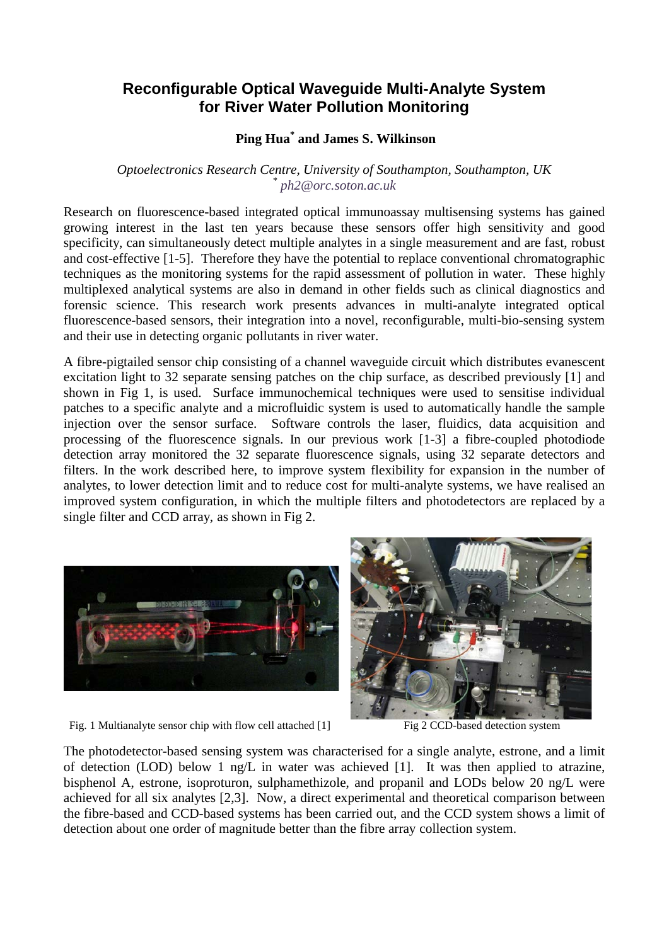## **Reconfigurable Optical Waveguide Multi-Analyte System for River Water Pollution Monitoring**

## **Ping Hua\* and James S. Wilkinson**

## *Optoelectronics Research Centre, University of Southampton, Southampton, UK \* ph2@orc.soton.ac.uk*

Research on fluorescence-based integrated optical immunoassay multisensing systems has gained growing interest in the last ten years because these sensors offer high sensitivity and good specificity, can simultaneously detect multiple analytes in a single measurement and are fast, robust and cost-effective [1-5]. Therefore they have the potential to replace conventional chromatographic techniques as the monitoring systems for the rapid assessment of pollution in water. These highly multiplexed analytical systems are also in demand in other fields such as clinical diagnostics and forensic science. This research work presents advances in multi-analyte integrated optical fluorescence-based sensors, their integration into a novel, reconfigurable, multi-bio-sensing system and their use in detecting organic pollutants in river water.

A fibre-pigtailed sensor chip consisting of a channel waveguide circuit which distributes evanescent excitation light to 32 separate sensing patches on the chip surface, as described previously [1] and shown in Fig 1, is used. Surface immunochemical techniques were used to sensitise individual patches to a specific analyte and a microfluidic system is used to automatically handle the sample injection over the sensor surface. Software controls the laser, fluidics, data acquisition and processing of the fluorescence signals. In our previous work [1-3] a fibre-coupled photodiode detection array monitored the 32 separate fluorescence signals, using 32 separate detectors and filters. In the work described here, to improve system flexibility for expansion in the number of analytes, to lower detection limit and to reduce cost for multi-analyte systems, we have realised an improved system configuration, in which the multiple filters and photodetectors are replaced by a single filter and CCD array, as shown in Fig 2.





Fig. 1 Multianalyte sensor chip with flow cell attached [1] Fig 2 CCD-based detection system

The photodetector-based sensing system was characterised for a single analyte, estrone, and a limit of detection (LOD) below 1 ng/L in water was achieved [1]. It was then applied to atrazine, bisphenol A, estrone, isoproturon, sulphamethizole, and propanil and LODs below 20 ng/L were achieved for all six analytes [2,3]. Now, a direct experimental and theoretical comparison between the fibre-based and CCD-based systems has been carried out, and the CCD system shows a limit of detection about one order of magnitude better than the fibre array collection system.